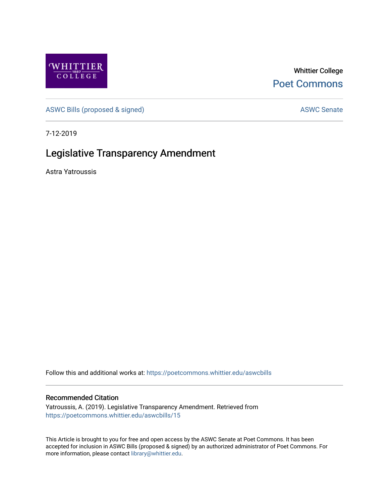

Whittier College [Poet Commons](https://poetcommons.whittier.edu/) 

[ASWC Bills \(proposed & signed\)](https://poetcommons.whittier.edu/aswcbills) ASWC Senate

7-12-2019

## Legislative Transparency Amendment

Astra Yatroussis

Follow this and additional works at: [https://poetcommons.whittier.edu/aswcbills](https://poetcommons.whittier.edu/aswcbills?utm_source=poetcommons.whittier.edu%2Faswcbills%2F15&utm_medium=PDF&utm_campaign=PDFCoverPages) 

## Recommended Citation

Yatroussis, A. (2019). Legislative Transparency Amendment. Retrieved from [https://poetcommons.whittier.edu/aswcbills/15](https://poetcommons.whittier.edu/aswcbills/15?utm_source=poetcommons.whittier.edu%2Faswcbills%2F15&utm_medium=PDF&utm_campaign=PDFCoverPages)

This Article is brought to you for free and open access by the ASWC Senate at Poet Commons. It has been accepted for inclusion in ASWC Bills (proposed & signed) by an authorized administrator of Poet Commons. For more information, please contact [library@whittier.edu.](mailto:library@whittier.edu)